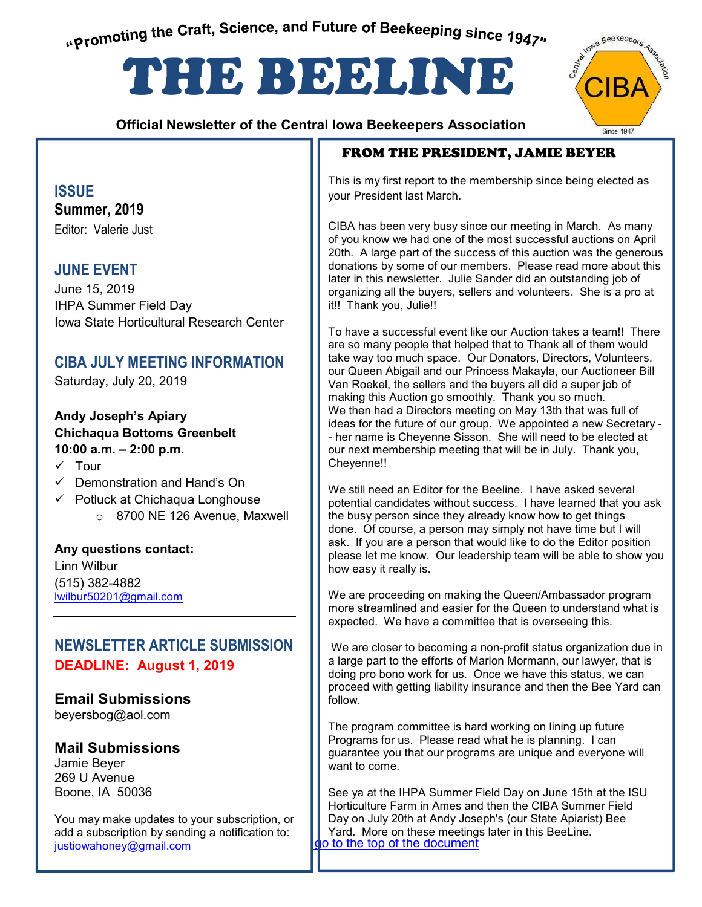"Promoting the Craft, Science, and Future of Beekeeping since 1947"

# THE BEELINE

 **Official Newsletter of the Central Iowa Beekeepers Association** 

## FROM THE PRESIDENT, JAMIE BEYER

This is my first report to the membership since being elected as your President last March.

CIBA has been very busy since our meeting in March. As many of you know we had one of the most successful auctions on April 20th. A large part of the success of this auction was the generous donations by some of our members. Please read more about this later in this newsletter. Julie Sander did an outstanding job of organizing all the buyers, sellers and volunteers. She is a pro at it!! Thank you, Julie!!

To have a successful event like our Auction takes a team!! There are so many people that helped that to Thank all of them would take way too much space. Our Donators, Directors, Volunteers, our Queen Abigail and our Princess Makayla, our Auctioneer Bill Van Roekel, the sellers and the buyers all did a super job of making this Auction go smoothly. Thank you so much. We then had a Directors meeting on May 13th that was full of ideas for the future of our group. We appointed a new Secretary - - her name is Cheyenne Sisson. She will need to be elected at our next membership meeting that will be in July. Thank you, Cheyenne!!

We still need an Editor for the Beeline. I have asked several potential candidates without success. I have learned that you ask the busy person since they already know how to get things done. Of course, a person may simply not have time but I will ask. If you are a person that would like to do the Editor position please let me know. Our leadership team will be able to show you how easy it really is.

We are proceeding on making the Queen/Ambassador program more streamlined and easier for the Queen to understand what is expected. We have a committee that is overseeing this.

 We are closer to becoming a non-profit status organization due in a large part to the efforts of Marlon Mormann, our lawyer, that is doing pro bono work for us. Once we have this status, we can proceed with getting liability insurance and then the Bee Yard can follow.

The program committee is hard working on lining up future Programs for us. Please read what he is planning. I can guarantee you that our programs are unique and everyone will want to come.

Day on July 20th at Andy Joseph's (our State Apiarist) Bee<br>Yard. More on these meetings later in this BeeLine. o to the top of the document See ya at the IHPA Summer Field Day on June 15th at the ISU Horticulture Farm in Ames and then the CIBA Summer Field Yard. More on these meetings later in this BeeLine.

## **ISSUE**

**Summer, 2019**  Editor: Valerie Just

## **JUNE EVENT**

June 15, 2019 IHPA Summer Field Day Iowa State Horticultural Research Center

## **CIBA JULY MEETING INFORMATION**

Saturday, July 20, 2019

#### **Andy Joseph's Apiary Chichaqua Bottoms Greenbelt 10:00 a.m. – 2:00 p.m.**

- $\times$  Tour
- $\checkmark$  Demonstration and Hand's On
- $\checkmark$  Potluck at Chichaqua Longhouse o 8700 NE 126 Avenue, Maxwell

**Any questions contact:**  Linn Wilbur (515) 382-4882 lwilbur50201@gmail.com

## **NEWSLETTER ARTICLE SUBMISSION DEADLINE: August 1, 2019**

**Email Submissions** beyersbog@aol.com

## **Mail Submissions**

Jamie Beyer 269 U Avenue Boone, IA 50036

You may make updates to your subscription, or add a subscription by sending a notification to: justiowahoney@gmail.com

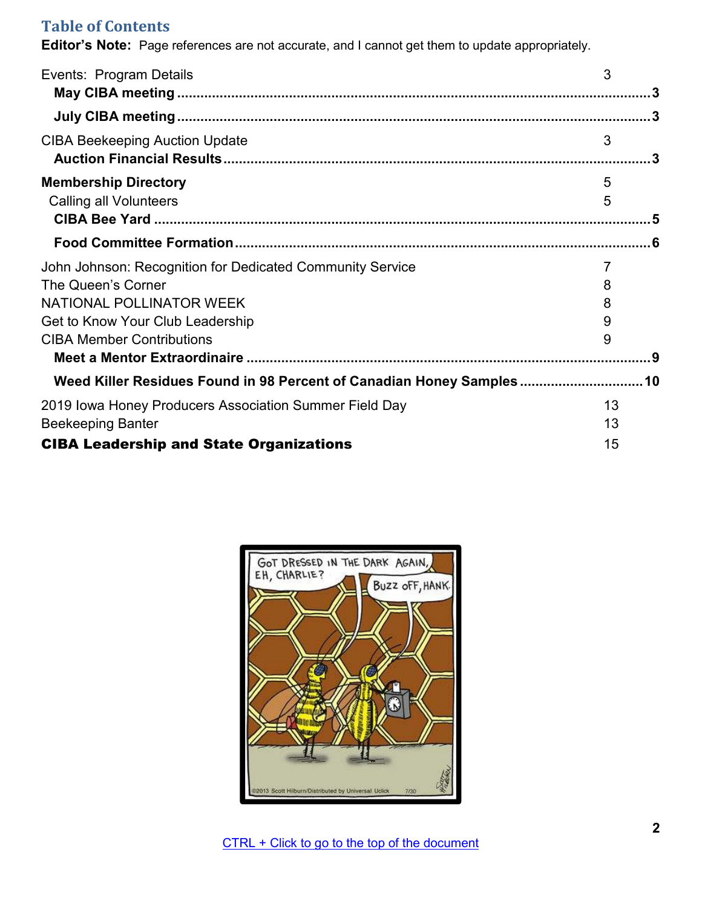## **Table of Contents**

**Editor's Note:** Page references are not accurate, and I cannot get them to update appropriately.

| Events: Program Details                                               | 3       |
|-----------------------------------------------------------------------|---------|
|                                                                       |         |
| <b>CIBA Beekeeping Auction Update</b>                                 | 3<br>.3 |
| <b>Membership Directory</b><br><b>Calling all Volunteers</b>          | 5<br>5  |
|                                                                       |         |
| John Johnson: Recognition for Dedicated Community Service             | 7       |
| The Queen's Corner                                                    | 8       |
| NATIONAL POLLINATOR WEEK                                              | 8       |
| Get to Know Your Club Leadership                                      | 9       |
| <b>CIBA Member Contributions</b>                                      | 9       |
|                                                                       | _9      |
| Weed Killer Residues Found in 98 Percent of Canadian Honey Samples 10 |         |
| 2019 Iowa Honey Producers Association Summer Field Day                | 13      |
| <b>Beekeeping Banter</b>                                              | 13      |
| <b>CIBA Leadership and State Organizations</b>                        | 15      |

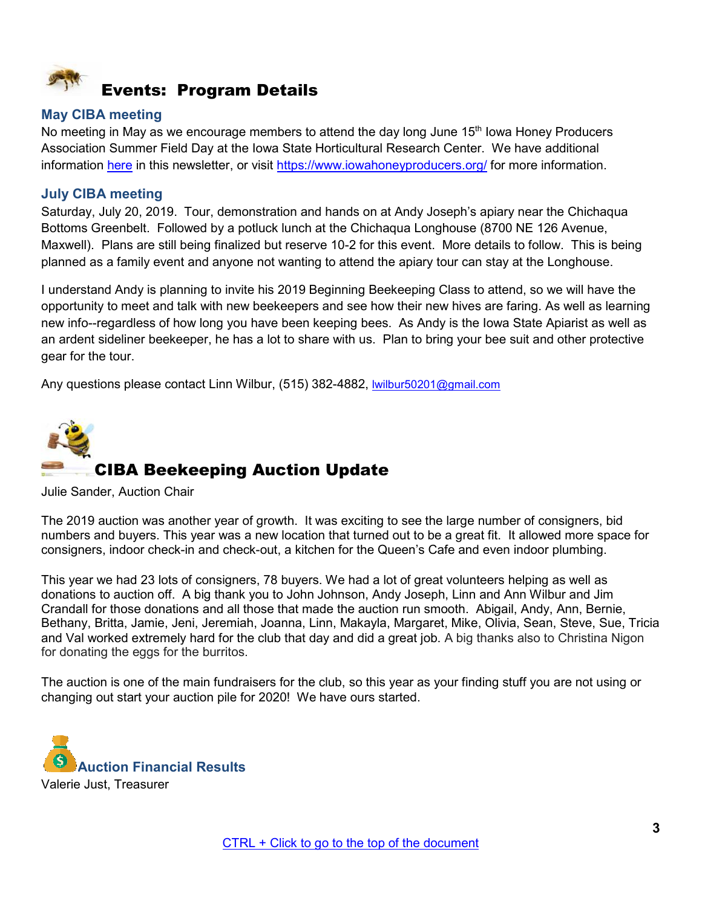<span id="page-2-0"></span>

#### <span id="page-2-1"></span>**May CIBA meeting**

No meeting in May as we encourage members to attend the day long June 15<sup>th</sup> Iowa Honey Producers Association Summer Field Day at the Iowa State Horticultural Research Center. We have additional information [here](#page-12-0) in this newsletter, or visit<https://www.iowahoneyproducers.org/>for more information.

#### <span id="page-2-2"></span>**July CIBA meeting**

Saturday, July 20, 2019. Tour, demonstration and hands on at Andy Joseph's apiary near the Chichaqua Bottoms Greenbelt. Followed by a potluck lunch at the Chichaqua Longhouse (8700 NE 126 Avenue, Maxwell). Plans are still being finalized but reserve 10-2 for this event. More details to follow. This is being planned as a family event and anyone not wanting to attend the apiary tour can stay at the Longhouse.

I understand Andy is planning to invite his 2019 Beginning Beekeeping Class to attend, so we will have the opportunity to meet and talk with new beekeepers and see how their new hives are faring. As well as learning new info--regardless of how long you have been keeping bees. As Andy is the Iowa State Apiarist as well as an ardent sideliner beekeeper, he has a lot to share with us. Plan to bring your bee suit and other protective gear for the tour.

Any questions please contact Linn Wilbur, (515) 382-4882, [lwilbur50201@gmail.com](mailto:lwilbur50201@gmail.com)

<span id="page-2-3"></span>

Julie Sander, Auction Chair

The 2019 auction was another year of growth. It was exciting to see the large number of consigners, bid numbers and buyers. This year was a new location that turned out to be a great fit. It allowed more space for consigners, indoor check-in and check-out, a kitchen for the Queen's Cafe and even indoor plumbing.

This year we had 23 lots of consigners, 78 buyers. We had a lot of great volunteers helping as well as donations to auction off. A big thank you to John Johnson, Andy Joseph, Linn and Ann Wilbur and Jim Crandall for those donations and all those that made the auction run smooth. Abigail, Andy, Ann, Bernie, Bethany, Britta, Jamie, Jeni, Jeremiah, Joanna, Linn, Makayla, Margaret, Mike, Olivia, Sean, Steve, Sue, Tricia and Val worked extremely hard for the club that day and did a great job. A big thanks also to Christina Nigon for donating the eggs for the burritos.

The auction is one of the main fundraisers for the club, so this year as your finding stuff you are not using or changing out start your auction pile for 2020! We have ours started.

<span id="page-2-4"></span>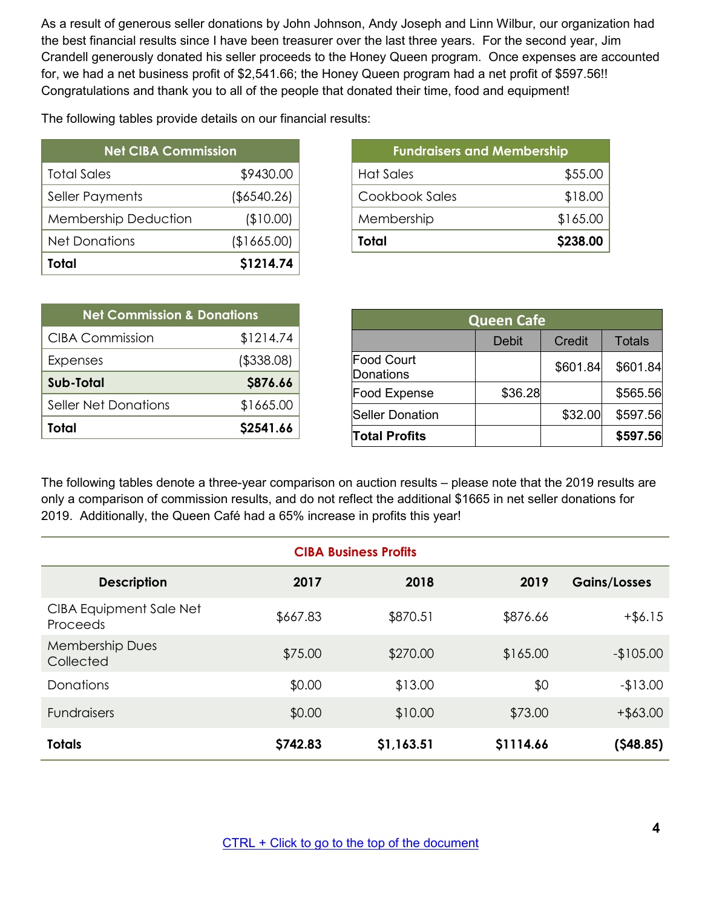As a result of generous seller donations by John Johnson, Andy Joseph and Linn Wilbur, our organization had the best financial results since I have been treasurer over the last three years. For the second year, Jim Crandell generously donated his seller proceeds to the Honey Queen program. Once expenses are accounted for, we had a net business profit of \$2,541.66; the Honey Queen program had a net profit of \$597.56!! Congratulations and thank you to all of the people that donated their time, food and equipment!

The following tables provide details on our financial results:

| <b>Net CIBA Commission</b>  |                |  |  |  |
|-----------------------------|----------------|--|--|--|
| <b>Total Sales</b>          | \$9430.00      |  |  |  |
| <b>Seller Payments</b>      | $($ \$6540.26) |  |  |  |
| <b>Membership Deduction</b> | (\$10.00)      |  |  |  |
| <b>Net Donations</b>        | (\$1665.00)    |  |  |  |
| Total                       | \$1214.74      |  |  |  |

| <b>Fundraisers and Membership</b> |          |  |  |
|-----------------------------------|----------|--|--|
| <b>Hat Sales</b>                  | \$55.00  |  |  |
| Cookbook Sales                    | \$18.00  |  |  |
| Membership                        | \$165.00 |  |  |
| Total                             | \$238.00 |  |  |

| <b>Net Commission &amp; Donations</b> |             |  |  |
|---------------------------------------|-------------|--|--|
| <b>CIBA Commission</b>                | \$1214.74   |  |  |
| Expenses                              | ( \$338.08) |  |  |
| Sub-Total                             | \$876.66    |  |  |
| Seller Net Donations                  | \$1665.00   |  |  |
| Total                                 | \$2541.66   |  |  |

| <b>Queen Cafe</b>                     |         |          |               |  |
|---------------------------------------|---------|----------|---------------|--|
|                                       | Debit   | Credit   | <b>Totals</b> |  |
| <b>Food Court</b><br><b>Donations</b> |         | \$601.84 | \$601.84      |  |
| <b>Food Expense</b>                   | \$36.28 |          | \$565.56      |  |
| <b>Seller Donation</b>                |         | \$32.00  | \$597.56      |  |
| <b>Total Profits</b>                  |         |          | \$597.56      |  |

The following tables denote a three-year comparison on auction results – please note that the 2019 results are only a comparison of commission results, and do not reflect the additional \$1665 in net seller donations for 2019. Additionally, the Queen Café had a 65% increase in profits this year!

| <b>CIBA Business Profits</b>               |          |            |           |                     |
|--------------------------------------------|----------|------------|-----------|---------------------|
| <b>Description</b>                         | 2017     | 2018       | 2019      | <b>Gains/Losses</b> |
| <b>CIBA Equipment Sale Net</b><br>Proceeds | \$667.83 | \$870.51   | \$876.66  | $+$ \$6.15          |
| <b>Membership Dues</b><br>Collected        | \$75.00  | \$270.00   | \$165.00  | $-$105.00$          |
| Donations                                  | \$0.00   | \$13.00    | \$0       | $-13.00$            |
| <b>Fundraisers</b>                         | \$0.00   | \$10.00    | \$73.00   | $+$ \$63.00         |
| <b>Totals</b>                              | \$742.83 | \$1,163.51 | \$1114.66 | $($ \$48.85)        |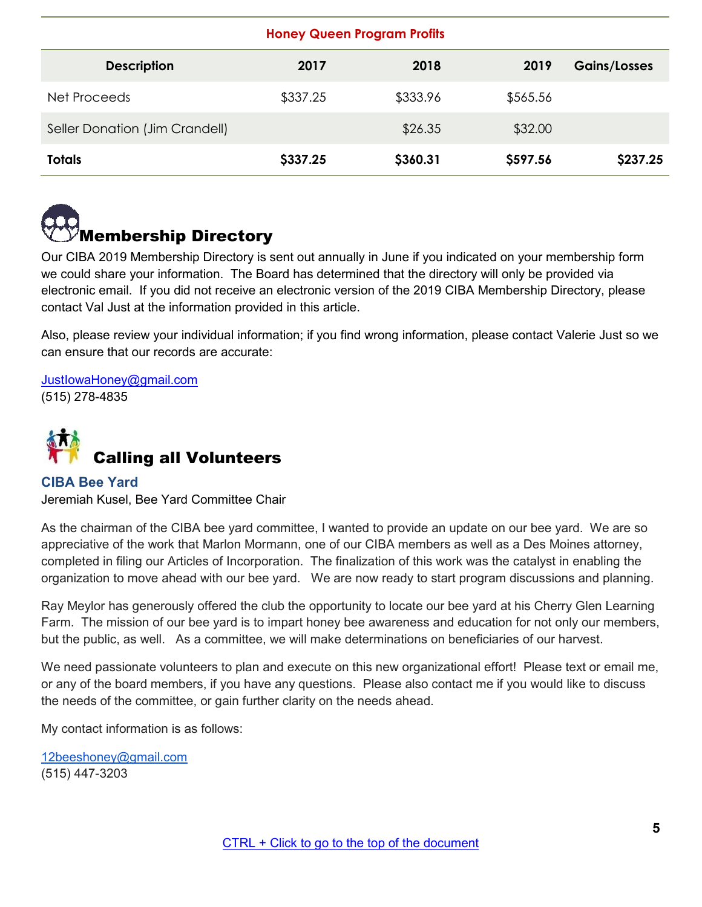| <b>Honey Queen Program Profits</b> |          |          |          |                     |
|------------------------------------|----------|----------|----------|---------------------|
| <b>Description</b>                 | 2017     | 2018     | 2019     | <b>Gains/Losses</b> |
| Net Proceeds                       | \$337.25 | \$333.96 | \$565.56 |                     |
| Seller Donation (Jim Crandell)     |          | \$26.35  | \$32.00  |                     |
| <b>Totals</b>                      | \$337.25 | \$360.31 | \$597.56 | \$237.25            |

<span id="page-4-0"></span>

Our CIBA 2019 Membership Directory is sent out annually in June if you indicated on your membership form we could share your information. The Board has determined that the directory will only be provided via electronic email. If you did not receive an electronic version of the 2019 CIBA Membership Directory, please contact Val Just at the information provided in this article.

Also, please review your individual information; if you find wrong information, please contact Valerie Just so we can ensure that our records are accurate:

[JustIowaHoney@gmail.com](mailto:JustIowaHoney@gmail.com) (515) 278-4835

<span id="page-4-1"></span>

#### <span id="page-4-2"></span>**CIBA Bee Yard**  Jeremiah Kusel, Bee Yard Committee Chair

As the chairman of the CIBA bee yard committee, I wanted to provide an update on our bee yard. We are so appreciative of the work that Marlon Mormann, one of our CIBA members as well as a Des Moines attorney, completed in filing our Articles of Incorporation. The finalization of this work was the catalyst in enabling the organization to move ahead with our bee yard. We are now ready to start program discussions and planning.

Ray Meylor has generously offered the club the opportunity to locate our bee yard at his Cherry Glen Learning Farm. The mission of our bee yard is to impart honey bee awareness and education for not only our members, but the public, as well. As a committee, we will make determinations on beneficiaries of our harvest.

We need passionate volunteers to plan and execute on this new organizational effort! Please text or email me, or any of the board members, if you have any questions. Please also contact me if you would like to discuss the needs of the committee, or gain further clarity on the needs ahead.

My contact information is as follows:

[12beeshoney@gmail.com](mailto:12beeshoney@gmail.com) (515) 447-3203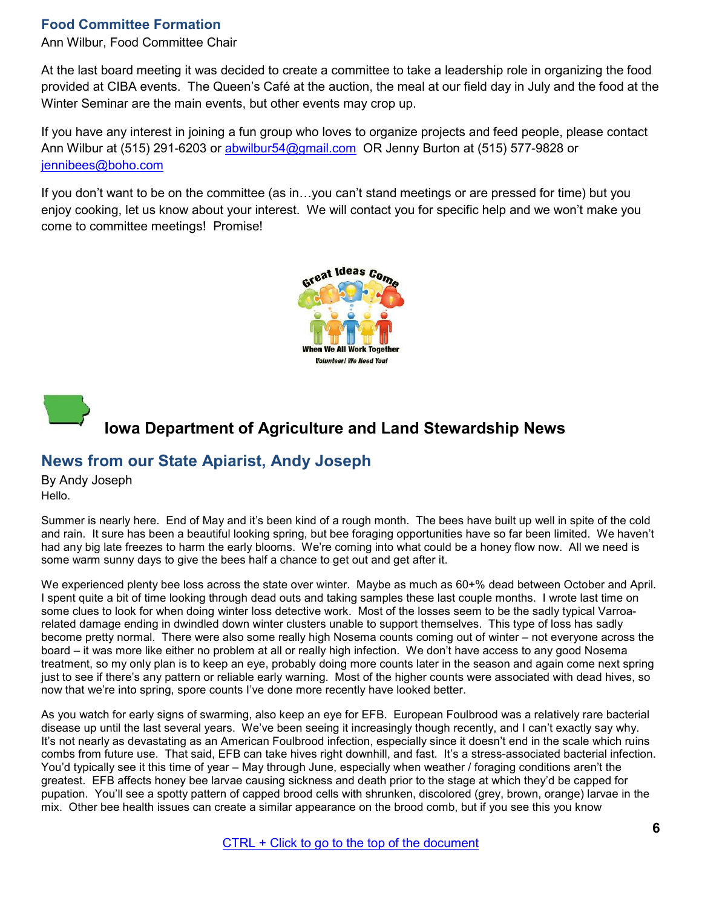#### <span id="page-5-0"></span>**Food Committee Formation**

Ann Wilbur, Food Committee Chair

At the last board meeting it was decided to create a committee to take a leadership role in organizing the food provided at CIBA events. The Queen's Café at the auction, the meal at our field day in July and the food at the Winter Seminar are the main events, but other events may crop up.

If you have any interest in joining a fun group who loves to organize projects and feed people, please contact Ann Wilbur at (515) 291-6203 or [abwilbur54@gmail.com](mailto:abwilbur54@gmail.com) OR Jenny Burton at (515) 577-9828 or [jennibees@boho.com](mailto:jennibees@boho.com)

If you don't want to be on the committee (as in…you can't stand meetings or are pressed for time) but you enjoy cooking, let us know about your interest. We will contact you for specific help and we won't make you come to committee meetings! Promise!





## **Iowa Department of Agriculture and Land Stewardship News**

## **News from our State Apiarist, Andy Joseph**

By Andy Joseph Hello.

Summer is nearly here. End of May and it's been kind of a rough month. The bees have built up well in spite of the cold and rain. It sure has been a beautiful looking spring, but bee foraging opportunities have so far been limited. We haven't had any big late freezes to harm the early blooms. We're coming into what could be a honey flow now. All we need is some warm sunny days to give the bees half a chance to get out and get after it.

We experienced plenty bee loss across the state over winter. Maybe as much as 60+% dead between October and April. I spent quite a bit of time looking through dead outs and taking samples these last couple months. I wrote last time on some clues to look for when doing winter loss detective work. Most of the losses seem to be the sadly typical Varroarelated damage ending in dwindled down winter clusters unable to support themselves. This type of loss has sadly become pretty normal. There were also some really high Nosema counts coming out of winter – not everyone across the board – it was more like either no problem at all or really high infection. We don't have access to any good Nosema treatment, so my only plan is to keep an eye, probably doing more counts later in the season and again come next spring just to see if there's any pattern or reliable early warning. Most of the higher counts were associated with dead hives, so now that we're into spring, spore counts I've done more recently have looked better.

As you watch for early signs of swarming, also keep an eye for EFB. European Foulbrood was a relatively rare bacterial disease up until the last several years. We've been seeing it increasingly though recently, and I can't exactly say why. It's not nearly as devastating as an American Foulbrood infection, especially since it doesn't end in the scale which ruins combs from future use. That said, EFB can take hives right downhill, and fast. It's a stress-associated bacterial infection. You'd typically see it this time of year – May through June, especially when weather / foraging conditions aren't the greatest. EFB affects honey bee larvae causing sickness and death prior to the stage at which they'd be capped for pupation. You'll see a spotty pattern of capped brood cells with shrunken, discolored (grey, brown, orange) larvae in the mix. Other bee health issues can create a similar appearance on the brood comb, but if you see this you know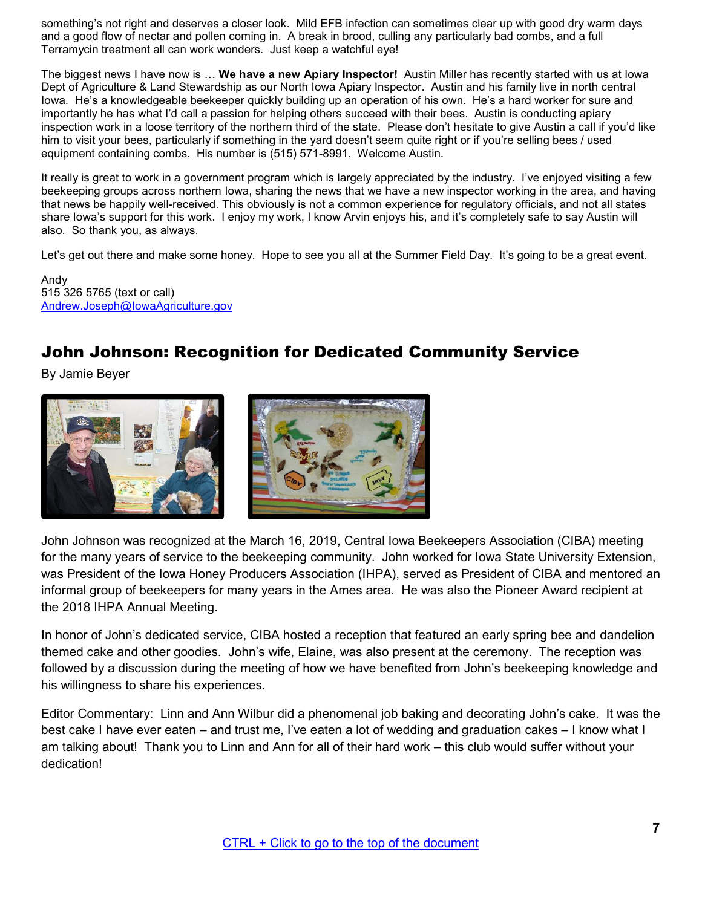something's not right and deserves a closer look. Mild EFB infection can sometimes clear up with good dry warm days and a good flow of nectar and pollen coming in. A break in brood, culling any particularly bad combs, and a full Terramycin treatment all can work wonders. Just keep a watchful eye!

The biggest news I have now is … **We have a new Apiary Inspector!** Austin Miller has recently started with us at Iowa Dept of Agriculture & Land Stewardship as our North Iowa Apiary Inspector. Austin and his family live in north central Iowa. He's a knowledgeable beekeeper quickly building up an operation of his own. He's a hard worker for sure and importantly he has what I'd call a passion for helping others succeed with their bees. Austin is conducting apiary inspection work in a loose territory of the northern third of the state. Please don't hesitate to give Austin a call if you'd like him to visit your bees, particularly if something in the yard doesn't seem quite right or if you're selling bees / used equipment containing combs. His number is (515) 571-8991. Welcome Austin.

It really is great to work in a government program which is largely appreciated by the industry. I've enjoyed visiting a few beekeeping groups across northern Iowa, sharing the news that we have a new inspector working in the area, and having that news be happily well-received. This obviously is not a common experience for regulatory officials, and not all states share Iowa's support for this work. I enjoy my work, I know Arvin enjoys his, and it's completely safe to say Austin will also. So thank you, as always.

Let's get out there and make some honey. Hope to see you all at the Summer Field Day. It's going to be a great event.

Andy 515 326 5765 (text or call) [Andrew.Joseph@IowaAgriculture.gov](mailto:Andrew.Joseph@IowaAgriculture.gov)

## <span id="page-6-0"></span>John Johnson: Recognition for Dedicated Community Service

By Jamie Beyer



John Johnson was recognized at the March 16, 2019, Central Iowa Beekeepers Association (CIBA) meeting for the many years of service to the beekeeping community. John worked for Iowa State University Extension, was President of the Iowa Honey Producers Association (IHPA), served as President of CIBA and mentored an informal group of beekeepers for many years in the Ames area. He was also the Pioneer Award recipient at the 2018 IHPA Annual Meeting.

In honor of John's dedicated service, CIBA hosted a reception that featured an early spring bee and dandelion themed cake and other goodies. John's wife, Elaine, was also present at the ceremony. The reception was followed by a discussion during the meeting of how we have benefited from John's beekeeping knowledge and his willingness to share his experiences.

Editor Commentary: Linn and Ann Wilbur did a phenomenal job baking and decorating John's cake. It was the best cake I have ever eaten – and trust me, I've eaten a lot of wedding and graduation cakes – I know what I am talking about! Thank you to Linn and Ann for all of their hard work – this club would suffer without your dedication!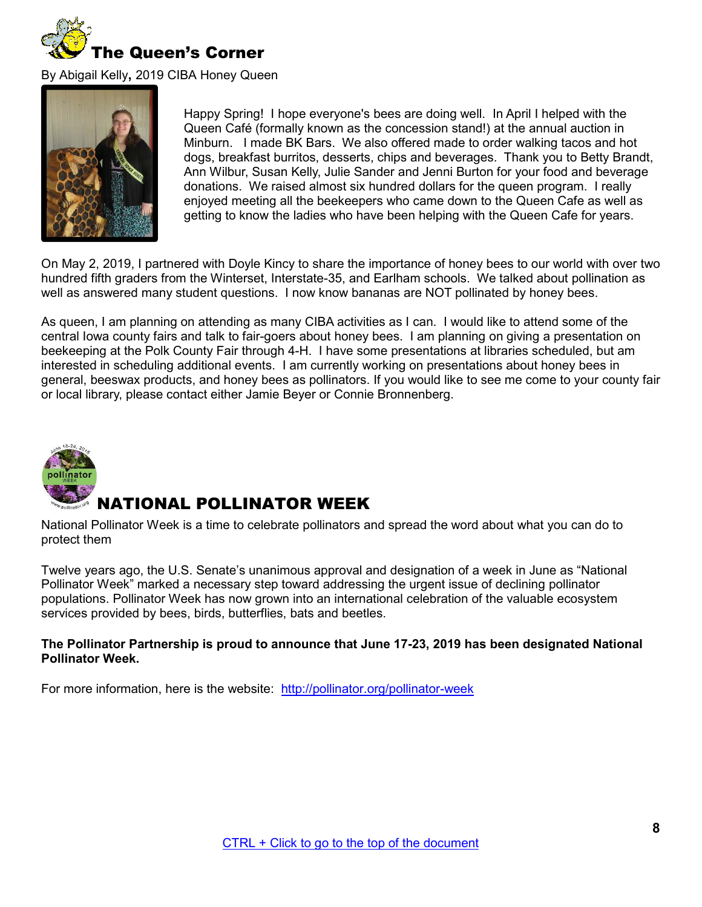<span id="page-7-0"></span>

By Abigail Kelly**,** 2019 CIBA Honey Queen



Happy Spring! I hope everyone's bees are doing well. In April I helped with the Queen Café (formally known as the concession stand!) at the annual auction in Minburn. I made BK Bars. We also offered made to order walking tacos and hot dogs, breakfast burritos, desserts, chips and beverages. Thank you to Betty Brandt, Ann Wilbur, Susan Kelly, Julie Sander and Jenni Burton for your food and beverage donations. We raised almost six hundred dollars for the queen program. I really enjoyed meeting all the beekeepers who came down to the Queen Cafe as well as getting to know the ladies who have been helping with the Queen Cafe for years.

On May 2, 2019, I partnered with Doyle Kincy to share the importance of honey bees to our world with over two hundred fifth graders from the Winterset, Interstate-35, and Earlham schools. We talked about pollination as well as answered many student questions. I now know bananas are NOT pollinated by honey bees.

As queen, I am planning on attending as many CIBA activities as I can. I would like to attend some of the central Iowa county fairs and talk to fair-goers about honey bees. I am planning on giving a presentation on beekeeping at the Polk County Fair through 4-H. I have some presentations at libraries scheduled, but am interested in scheduling additional events. I am currently working on presentations about honey bees in general, beeswax products, and honey bees as pollinators. If you would like to see me come to your county fair or local library, please contact either Jamie Beyer or Connie Bronnenberg.

<span id="page-7-1"></span>

## NATIONAL POLLINATOR WEEK

National Pollinator Week is a time to celebrate pollinators and spread the word about what you can do to protect them

Twelve years ago, the U.S. Senate's unanimous approval and designation of a week in June as "National Pollinator Week" marked a necessary step toward addressing the urgent issue of declining pollinator populations. Pollinator Week has now grown into an international celebration of the valuable ecosystem services provided by bees, birds, butterflies, bats and beetles.

#### **The Pollinator Partnership is proud to announce that June 17-23, 2019 has been designated National Pollinator Week.**

For more information, here is the website: http://pollinator.org/pollinator-week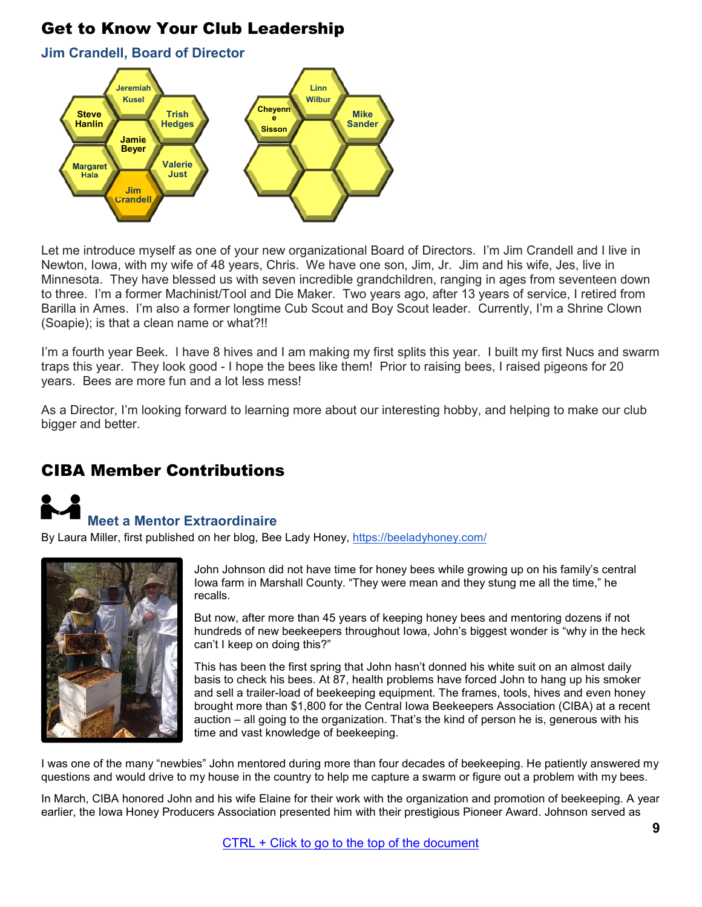## <span id="page-8-0"></span>Get to Know Your Club Leadership

**Jim Crandell, Board of Director** 



Let me introduce myself as one of your new organizational Board of Directors. I'm Jim Crandell and I live in Newton, Iowa, with my wife of 48 years, Chris. We have one son, Jim, Jr. Jim and his wife, Jes, live in Minnesota. They have blessed us with seven incredible grandchildren, ranging in ages from seventeen down to three. I'm a former Machinist/Tool and Die Maker. Two years ago, after 13 years of service, I retired from Barilla in Ames. I'm also a former longtime Cub Scout and Boy Scout leader. Currently, I'm a Shrine Clown (Soapie); is that a clean name or what?!!

I'm a fourth year Beek. I have 8 hives and I am making my first splits this year. I built my first Nucs and swarm traps this year. They look good - I hope the bees like them! Prior to raising bees, I raised pigeons for 20 years. Bees are more fun and a lot less mess!

As a Director, I'm looking forward to learning more about our interesting hobby, and helping to make our club bigger and better.

## <span id="page-8-1"></span>[CIBA Member Contributions](https://www.pollinator.org/pollinator-week)

## <span id="page-8-2"></span> **Meet a Mentor Extraordinaire**

By Laura Miller, first published on her blog, Bee Lady Honey, <https://beeladyhoney.com/>



John Johnson did not have time for honey bees while growing up on his family's central Iowa farm in Marshall County. "They were mean and they stung me all the time," he recalls.

But now, after more than 45 years of keeping honey bees and mentoring dozens if not hundreds of new beekeepers throughout Iowa, John's biggest wonder is "why in the heck can't I keep on doing this?"

This has been the first spring that John hasn't donned his white suit on an almost daily basis to check his bees. At 87, health problems have forced John to hang up his smoker and sell a trailer-load of beekeeping equipment. The frames, tools, hives and even honey brought more than \$1,800 for the Central Iowa Beekeepers Association (CIBA) at a recent auction – all going to the organization. That's the kind of person he is, generous with his time and vast knowledge of beekeeping.

I was one of the many "newbies" John mentored during more than four decades of beekeeping. He patiently answered my questions and would drive to my house in the country to help me capture a swarm or figure out a problem with my bees.

In March, CIBA honored John and his wife Elaine for their work with the organization and promotion of beekeeping. A year earlier, the Iowa Honey Producers Association presented him with their prestigious Pioneer Award. Johnson served as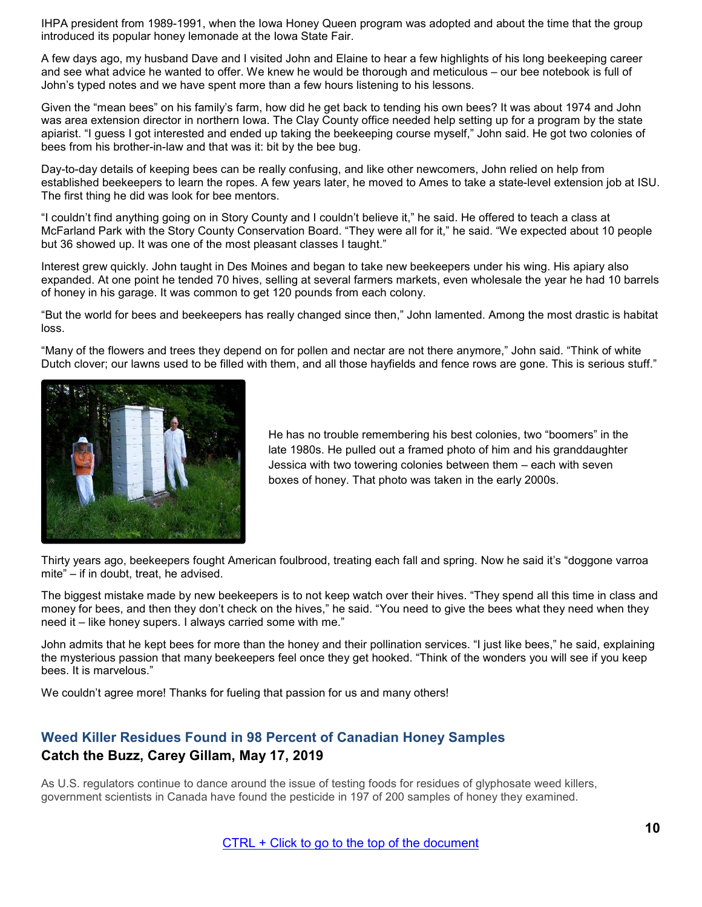IHPA president from 1989-1991, when the Iowa Honey Queen program was adopted and about the time that the group introduced its popular honey lemonade at the Iowa State Fair.

A few days ago, my husband Dave and I visited John and Elaine to hear a few highlights of his long beekeeping career and see what advice he wanted to offer. We knew he would be thorough and meticulous – our bee notebook is full of John's typed notes and we have spent more than a few hours listening to his lessons.

Given the "mean bees" on his family's farm, how did he get back to tending his own bees? It was about 1974 and John was area extension director in northern Iowa. The Clay County office needed help setting up for a program by the state apiarist. "I guess I got interested and ended up taking the beekeeping course myself," John said. He got two colonies of bees from his brother-in-law and that was it: bit by the bee bug.

Day-to-day details of keeping bees can be really confusing, and like other newcomers, John relied on help from established beekeepers to learn the ropes. A few years later, he moved to Ames to take a state-level extension job at ISU. The first thing he did was look for bee mentors.

"I couldn't find anything going on in Story County and I couldn't believe it," he said. He offered to teach a class at McFarland Park with the Story County Conservation Board. "They were all for it," he said. "We expected about 10 people but 36 showed up. It was one of the most pleasant classes I taught."

Interest grew quickly. John taught in Des Moines and began to take new beekeepers under his wing. His apiary also expanded. At one point he tended 70 hives, selling at several farmers markets, even wholesale the year he had 10 barrels of honey in his garage. It was common to get 120 pounds from each colony.

"But the world for bees and beekeepers has really changed since then," John lamented. Among the most drastic is habitat loss.

"Many of the flowers and trees they depend on for pollen and nectar are not there anymore," John said. "Think of white Dutch clover; our lawns used to be filled with them, and all those hayfields and fence rows are gone. This is serious stuff."



He has no trouble remembering his best colonies, two "boomers" in the late 1980s. He pulled out a framed photo of him and his granddaughter Jessica with two towering colonies between them – each with seven boxes of honey. That photo was taken in the early 2000s.

Thirty years ago, beekeepers fought American foulbrood, treating each fall and spring. Now he said it's "doggone varroa mite" – if in doubt, treat, he advised.

The biggest mistake made by new beekeepers is to not keep watch over their hives. "They spend all this time in class and money for bees, and then they don't check on the hives," he said. "You need to give the bees what they need when they need it – like honey supers. I always carried some with me."

John admits that he kept bees for more than the honey and their pollination services. "I just like bees," he said, explaining the mysterious passion that many beekeepers feel once they get hooked. "Think of the wonders you will see if you keep bees. It is marvelous."

We couldn't agree more! Thanks for fueling that passion for us and many others!

#### <span id="page-9-0"></span>**Weed Killer Residues Found in 98 Percent of Canadian Honey Samples Catch the Buzz, Carey Gillam, May 17, 2019**

As U.S. regulators continue to dance around the issue of testing foods for residues of glyphosate weed killers, government scientists in Canada have found the pesticide in 197 of 200 samples of honey they examined.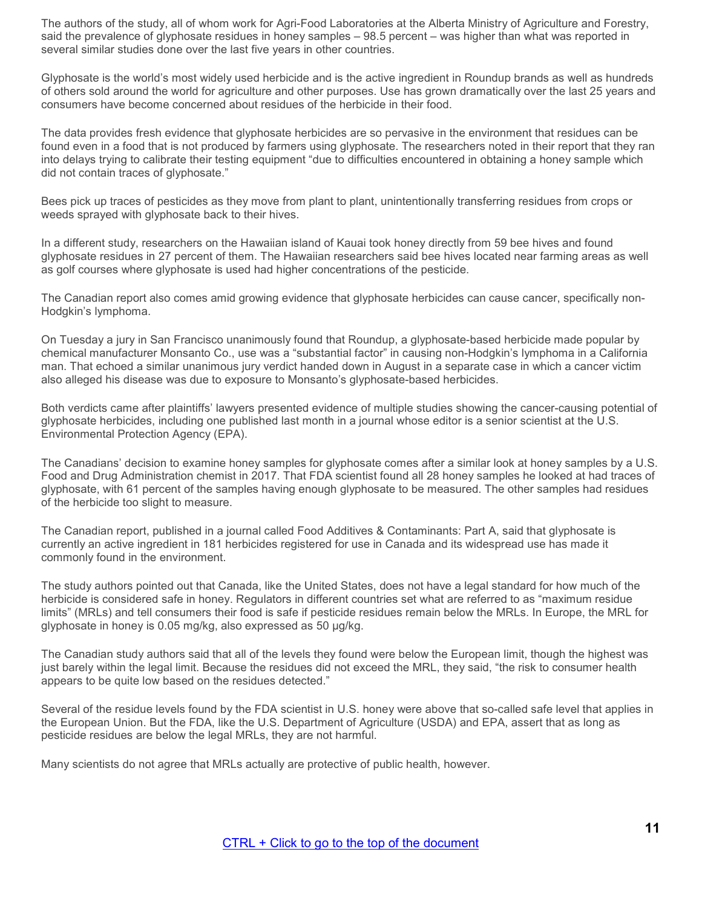The authors of the study, all of whom work for Agri-Food Laboratories at the Alberta Ministry of Agriculture and Forestry, said the prevalence of glyphosate residues in honey samples – 98.5 percent – was higher than what was reported in several similar studies done over the last five years in other countries.

Glyphosate is the world's most widely used herbicide and is the active ingredient in Roundup brands as well as hundreds of others sold around the world for agriculture and other purposes. Use has grown dramatically over the last 25 years and consumers have become concerned about residues of the herbicide in their food.

The data provides fresh evidence that glyphosate herbicides are so pervasive in the environment that residues can be found even in a food that is not produced by farmers using glyphosate. The researchers noted in their report that they ran into delays trying to calibrate their testing equipment "due to difficulties encountered in obtaining a honey sample which did not contain traces of glyphosate."

Bees pick up traces of pesticides as they move from plant to plant, unintentionally transferring residues from crops or weeds sprayed with glyphosate back to their hives.

In a different study, researchers on the Hawaiian island of Kauai took honey directly from 59 bee hives and found glyphosate residues in 27 percent of them. The Hawaiian researchers said bee hives located near farming areas as well as golf courses where glyphosate is used had higher concentrations of the pesticide.

The Canadian report also comes amid growing evidence that glyphosate herbicides can cause cancer, specifically non-Hodgkin's lymphoma.

On Tuesday a jury in San Francisco unanimously found that Roundup, a glyphosate-based herbicide made popular by chemical manufacturer Monsanto Co., use was a "substantial factor" in causing non-Hodgkin's lymphoma in a California man. That echoed a similar unanimous jury verdict handed down in August in a separate case in which a cancer victim also alleged his disease was due to exposure to Monsanto's glyphosate-based herbicides.

Both verdicts came after plaintiffs' lawyers presented evidence of multiple studies showing the cancer-causing potential of glyphosate herbicides, including one published last month in a journal whose editor is a senior scientist at the U.S. Environmental Protection Agency (EPA).

The Canadians' decision to examine honey samples for glyphosate comes after a similar look at honey samples by a U.S. Food and Drug Administration chemist in 2017. That FDA scientist found all 28 honey samples he looked at had traces of glyphosate, with 61 percent of the samples having enough glyphosate to be measured. The other samples had residues of the herbicide too slight to measure.

The Canadian report, published in a journal called Food Additives & Contaminants: Part A, said that glyphosate is currently an active ingredient in 181 herbicides registered for use in Canada and its widespread use has made it commonly found in the environment.

The study authors pointed out that Canada, like the United States, does not have a legal standard for how much of the herbicide is considered safe in honey. Regulators in different countries set what are referred to as "maximum residue limits" (MRLs) and tell consumers their food is safe if pesticide residues remain below the MRLs. In Europe, the MRL for glyphosate in honey is 0.05 mg/kg, also expressed as 50 μg/kg.

The Canadian study authors said that all of the levels they found were below the European limit, though the highest was just barely within the legal limit. Because the residues did not exceed the MRL, they said, "the risk to consumer health appears to be quite low based on the residues detected."

Several of the residue levels found by the FDA scientist in U.S. honey were above that so-called safe level that applies in the European Union. But the FDA, like the U.S. Department of Agriculture (USDA) and EPA, assert that as long as pesticide residues are below the legal MRLs, they are not harmful.

Many scientists do not agree that MRLs actually are protective of public health, however.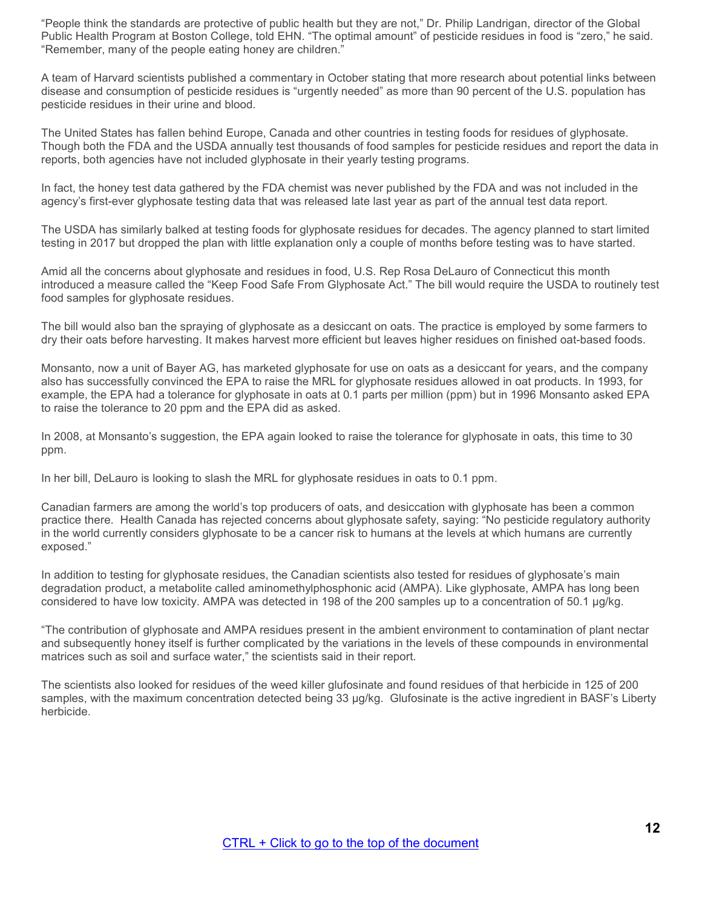"People think the standards are protective of public health but they are not," Dr. Philip Landrigan, director of the Global Public Health Program at Boston College, told EHN. "The optimal amount" of pesticide residues in food is "zero," he said. "Remember, many of the people eating honey are children."

A team of Harvard scientists published a commentary in October stating that more research about potential links between disease and consumption of pesticide residues is "urgently needed" as more than 90 percent of the U.S. population has pesticide residues in their urine and blood.

The United States has fallen behind Europe, Canada and other countries in testing foods for residues of glyphosate. Though both the FDA and the USDA annually test thousands of food samples for pesticide residues and report the data in reports, both agencies have not included glyphosate in their yearly testing programs.

In fact, the honey test data gathered by the FDA chemist was never published by the FDA and was not included in the agency's first-ever glyphosate testing data that was released late last year as part of the annual test data report.

The USDA has similarly balked at testing foods for glyphosate residues for decades. The agency planned to start limited testing in 2017 but dropped the plan with little explanation only a couple of months before testing was to have started.

Amid all the concerns about glyphosate and residues in food, U.S. Rep Rosa DeLauro of Connecticut this month introduced a measure called the "Keep Food Safe From Glyphosate Act." The bill would require the USDA to routinely test food samples for glyphosate residues.

The bill would also ban the spraying of glyphosate as a desiccant on oats. The practice is employed by some farmers to dry their oats before harvesting. It makes harvest more efficient but leaves higher residues on finished oat-based foods.

Monsanto, now a unit of Bayer AG, has marketed glyphosate for use on oats as a desiccant for years, and the company also has successfully convinced the EPA to raise the MRL for glyphosate residues allowed in oat products. In 1993, for example, the EPA had a tolerance for glyphosate in oats at 0.1 parts per million (ppm) but in 1996 Monsanto asked EPA to raise the tolerance to 20 ppm and the EPA did as asked.

In 2008, at Monsanto's suggestion, the EPA again looked to raise the tolerance for glyphosate in oats, this time to 30 ppm.

In her bill, DeLauro is looking to slash the MRL for glyphosate residues in oats to 0.1 ppm.

Canadian farmers are among the world's top producers of oats, and desiccation with glyphosate has been a common practice there. Health Canada has rejected concerns about glyphosate safety, saying: "No pesticide regulatory authority in the world currently considers glyphosate to be a cancer risk to humans at the levels at which humans are currently exposed."

In addition to testing for glyphosate residues, the Canadian scientists also tested for residues of glyphosate's main degradation product, a metabolite called aminomethylphosphonic acid (AMPA). Like glyphosate, AMPA has long been considered to have low toxicity. AMPA was detected in 198 of the 200 samples up to a concentration of 50.1 μg/kg.

"The contribution of glyphosate and AMPA residues present in the ambient environment to contamination of plant nectar and subsequently honey itself is further complicated by the variations in the levels of these compounds in environmental matrices such as soil and surface water," the scientists said in their report.

The scientists also looked for residues of the weed killer glufosinate and found residues of that herbicide in 125 of 200 samples, with the maximum concentration detected being 33 μg/kg. Glufosinate is the active ingredient in BASF's Liberty herbicide.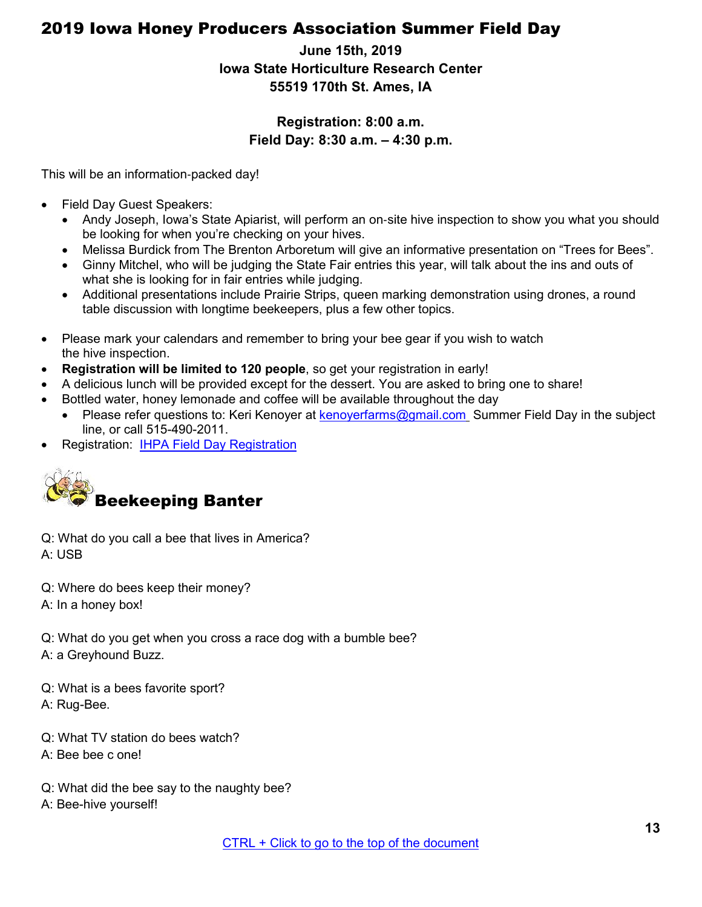## <span id="page-12-0"></span>2019 Iowa Honey Producers Association Summer Field Day

## **June 15th, 2019 Iowa State Horticulture Research Center 55519 170th St. Ames, IA**

#### **Registration: 8:00 a.m. Field Day: 8:30 a.m. – 4:30 p.m.**

This will be an information‐packed day!

- Field Day Guest Speakers:
	- Andy Joseph, Iowa's State Apiarist, will perform an on-site hive inspection to show you what you should be looking for when you're checking on your hives.
	- Melissa Burdick from The Brenton Arboretum will give an informative presentation on "Trees for Bees".
	- Ginny Mitchel, who will be judging the State Fair entries this year, will talk about the ins and outs of what she is looking for in fair entries while judging.
	- Additional presentations include Prairie Strips, queen marking demonstration using drones, a round table discussion with longtime beekeepers, plus a few other topics.
- Please mark your calendars and remember to bring your bee gear if you wish to watch the hive inspection.
- **Registration will be limited to 120 people**, so get your registration in early!
- A delicious lunch will be provided except for the dessert. You are asked to bring one to share!
- Bottled water, honey lemonade and coffee will be available throughout the day
	- Please refer questions to: Keri Kenoye[r at kenoyerfarms@gmail.com](mailto:kenoyerfarms@gmail.com) Summer Field Day in the subject line, or call 515-490-2011.
- Registration: [IHPA Field Day Registration](https://www.iowahoneyproducers.org/)

<span id="page-12-1"></span>

Q: What do you call a bee that lives in America? A: USB

- Q: Where do bees keep their money?
- A: In a honey box!

Q: What do you get when you cross a race dog with a bumble bee? A: a Greyhound Buzz.

Q: What is a bees favorite sport? A: Rug-Bee.

- Q: What TV station do bees watch?
- A: Bee bee c one!
- Q: What did the bee say to the naughty bee?
- A: Bee-hive yourself!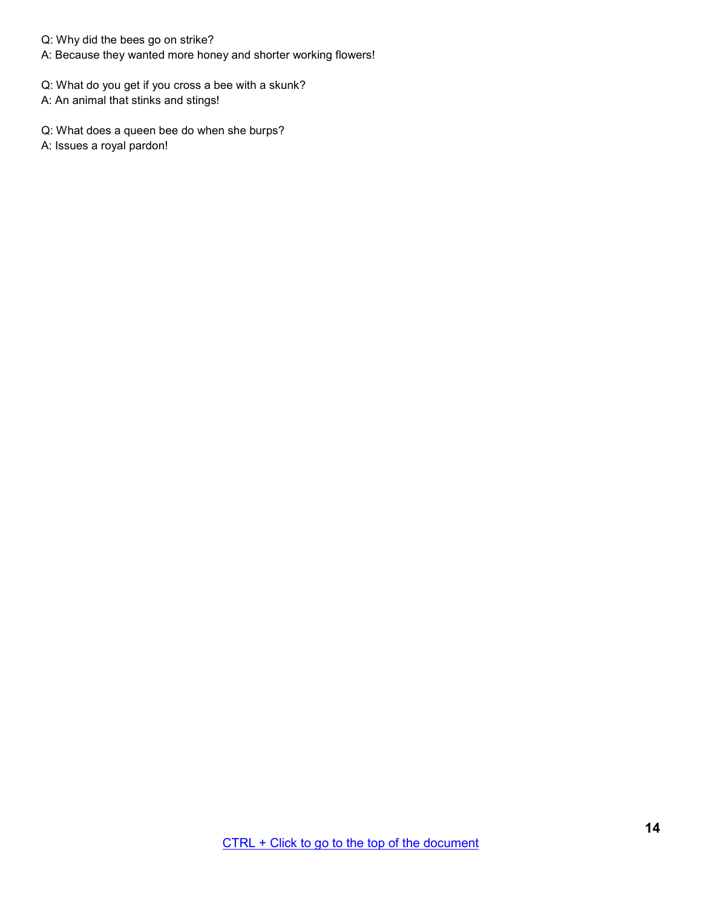Q: Why did the bees go on strike?

A: Because they wanted more honey and shorter working flowers!

Q: What do you get if you cross a bee with a skunk?

A: An animal that stinks and stings!

Q: What does a queen bee do when she burps?

A: Issues a royal pardon!